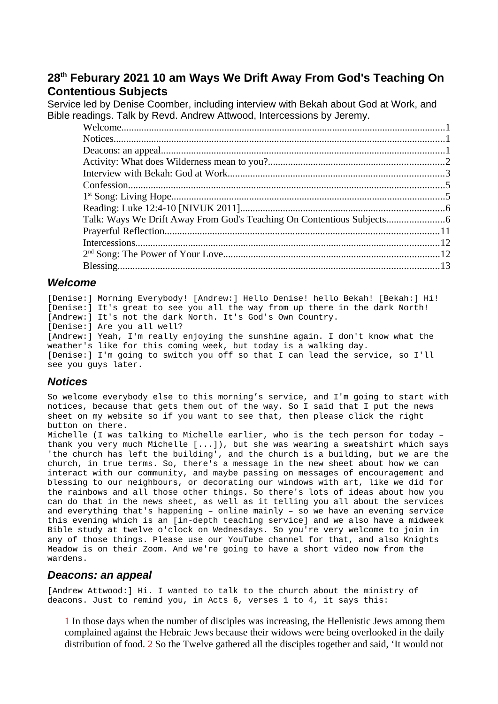# **28th Feburary 2021 10 am Ways We Drift Away From God's Teaching On Contentious Subjects**

Service led by Denise Coomber, including interview with Bekah about God at Work, and Bible readings. Talk by Revd. Andrew Attwood, Intercessions by Jeremy.

| Talk: Ways We Drift Away From God's Teaching On Contentious Subjects |  |
|----------------------------------------------------------------------|--|
|                                                                      |  |
|                                                                      |  |
|                                                                      |  |
|                                                                      |  |

## <span id="page-0-2"></span>*Welcome*

[Denise:] Morning Everybody! [Andrew:] Hello Denise! hello Bekah! [Bekah:] Hi! [Denise:] It's great to see you all the way from up there in the dark North! [Andrew:] It's not the dark North. It's God's Own Country. [Denise:] Are you all well? [Andrew:] Yeah, I'm really enjoying the sunshine again. I don't know what the weather's like for this coming week, but today is a walking day. [Denise:] I'm going to switch you off so that I can lead the service, so I'll see you guys later.

### <span id="page-0-1"></span>*Notices*

So welcome everybody else to this morning's service, and I'm going to start with notices, because that gets them out of the way. So I said that I put the news sheet on my website so if you want to see that, then please click the right button on there.

Michelle (I was talking to Michelle earlier, who is the tech person for today – thank you very much Michelle [...]), but she was wearing a sweatshirt which says 'the church has left the building', and the church is a building, but we are the church, in true terms. So, there's a message in the new sheet about how we can interact with our community, and maybe passing on messages of encouragement and blessing to our neighbours, or decorating our windows with art, like we did for the rainbows and all those other things. So there's lots of ideas about how you can do that in the news sheet, as well as it telling you all about the services and everything that's happening – online mainly – so we have an evening service this evening which is an [in-depth teaching service] and we also have a midweek Bible study at twelve o'clock on Wednesdays. So you're very welcome to join in any of those things. Please use our YouTube channel for that, and also Knights Meadow is on their Zoom. And we're going to have a short video now from the wardens.

### <span id="page-0-0"></span>*Deacons: an appeal*

[Andrew Attwood:] Hi. I wanted to talk to the church about the ministry of deacons. Just to remind you, in Acts 6, verses 1 to 4, it says this:

1 In those days when the number of disciples was increasing, the Hellenistic Jews among them complained against the Hebraic Jews because their widows were being overlooked in the daily distribution of food. 2 So the Twelve gathered all the disciples together and said, 'It would not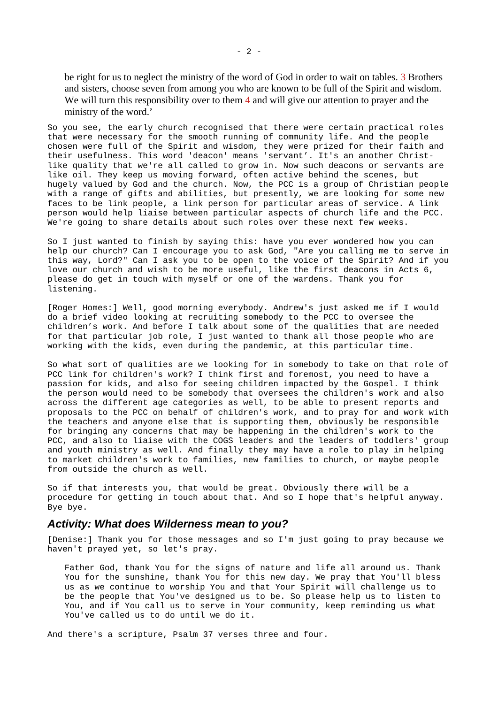be right for us to neglect the ministry of the word of God in order to wait on tables. 3 Brothers and sisters, choose seven from among you who are known to be full of the Spirit and wisdom. We will turn this responsibility over to them 4 and will give our attention to prayer and the ministry of the word.'

So you see, the early church recognised that there were certain practical roles that were necessary for the smooth running of community life. And the people chosen were full of the Spirit and wisdom, they were prized for their faith and their usefulness. This word 'deacon' means 'servant'. It's an another Christlike quality that we're all called to grow in. Now such deacons or servants are like oil. They keep us moving forward, often active behind the scenes, but hugely valued by God and the church. Now, the PCC is a group of Christian people with a range of gifts and abilities, but presently, we are looking for some new faces to be link people, a link person for particular areas of service. A link person would help liaise between particular aspects of church life and the PCC. We're going to share details about such roles over these next few weeks.

So I just wanted to finish by saying this: have you ever wondered how you can help our church? Can I encourage you to ask God, "Are you calling me to serve in this way, Lord?" Can I ask you to be open to the voice of the Spirit? And if you love our church and wish to be more useful, like the first deacons in Acts 6, please do get in touch with myself or one of the wardens. Thank you for listening.

[Roger Homes:] Well, good morning everybody. Andrew's just asked me if I would do a brief video looking at recruiting somebody to the PCC to oversee the children's work. And before I talk about some of the qualities that are needed for that particular job role, I just wanted to thank all those people who are working with the kids, even during the pandemic, at this particular time.

So what sort of qualities are we looking for in somebody to take on that role of PCC link for children's work? I think first and foremost, you need to have a passion for kids, and also for seeing children impacted by the Gospel. I think the person would need to be somebody that oversees the children's work and also across the different age categories as well, to be able to present reports and proposals to the PCC on behalf of children's work, and to pray for and work with the teachers and anyone else that is supporting them, obviously be responsible for bringing any concerns that may be happening in the children's work to the PCC, and also to liaise with the COGS leaders and the leaders of toddlers' group and youth ministry as well. And finally they may have a role to play in helping to market children's work to families, new families to church, or maybe people from outside the church as well.

So if that interests you, that would be great. Obviously there will be a procedure for getting in touch about that. And so I hope that's helpful anyway. Bye bye.

#### <span id="page-1-0"></span>*Activity: What does Wilderness mean to you?*

[Denise:] Thank you for those messages and so I'm just going to pray because we haven't prayed yet, so let's pray.

Father God, thank You for the signs of nature and life all around us. Thank You for the sunshine, thank You for this new day. We pray that You'll bless us as we continue to worship You and that Your Spirit will challenge us to be the people that You've designed us to be. So please help us to listen to You, and if You call us to serve in Your community, keep reminding us what You've called us to do until we do it.

And there's a scripture, Psalm 37 verses three and four.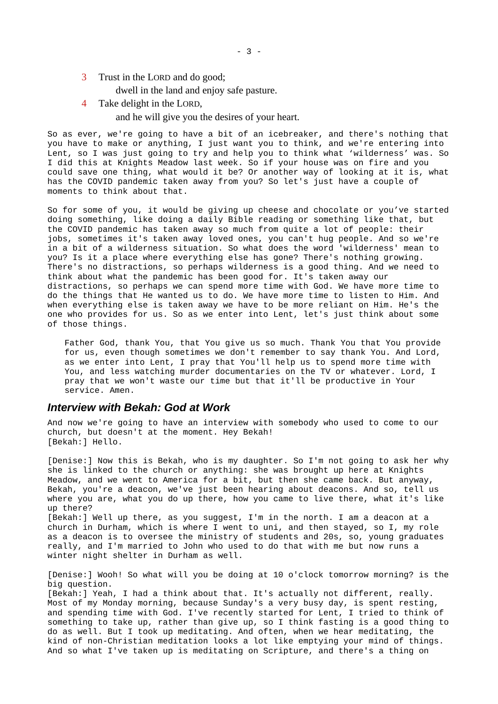3 Trust in the LORD and do good;

dwell in the land and enjoy safe pasture.

4 Take delight in the LORD,

and he will give you the desires of your heart.

So as ever, we're going to have a bit of an icebreaker, and there's nothing that you have to make or anything, I just want you to think, and we're entering into Lent, so I was just going to try and help you to think what 'wilderness' was. So I did this at Knights Meadow last week. So if your house was on fire and you could save one thing, what would it be? Or another way of looking at it is, what has the COVID pandemic taken away from you? So let's just have a couple of moments to think about that.

So for some of you, it would be giving up cheese and chocolate or you've started doing something, like doing a daily Bible reading or something like that, but the COVID pandemic has taken away so much from quite a lot of people: their jobs, sometimes it's taken away loved ones, you can't hug people. And so we're in a bit of a wilderness situation. So what does the word 'wilderness' mean to you? Is it a place where everything else has gone? There's nothing growing. There's no distractions, so perhaps wilderness is a good thing. And we need to think about what the pandemic has been good for. It's taken away our distractions, so perhaps we can spend more time with God. We have more time to do the things that He wanted us to do. We have more time to listen to Him. And when everything else is taken away we have to be more reliant on Him. He's the one who provides for us. So as we enter into Lent, let's just think about some of those things.

Father God, thank You, that You give us so much. Thank You that You provide for us, even though sometimes we don't remember to say thank You. And Lord, as we enter into Lent, I pray that You'll help us to spend more time with You, and less watching murder documentaries on the TV or whatever. Lord, I pray that we won't waste our time but that it'll be productive in Your service. Amen.

### <span id="page-2-0"></span>*Interview with Bekah: God at Work*

And now we're going to have an interview with somebody who used to come to our church, but doesn't at the moment. Hey Bekah! [Bekah:] Hello.

[Denise:] Now this is Bekah, who is my daughter. So I'm not going to ask her why she is linked to the church or anything: she was brought up here at Knights Meadow, and we went to America for a bit, but then she came back. But anyway, Bekah, you're a deacon, we've just been hearing about deacons. And so, tell us where you are, what you do up there, how you came to live there, what it's like up there? [Bekah:] Well up there, as you suggest, I'm in the north. I am a deacon at a church in Durham, which is where I went to uni, and then stayed, so I, my role

as a deacon is to oversee the ministry of students and 20s, so, young graduates really, and I'm married to John who used to do that with me but now runs a winter night shelter in Durham as well.

[Denise:] Wooh! So what will you be doing at 10 o'clock tomorrow morning? is the big question.

[Bekah:] Yeah, I had a think about that. It's actually not different, really. Most of my Monday morning, because Sunday's a very busy day, is spent resting, and spending time with God. I've recently started for Lent, I tried to think of something to take up, rather than give up, so I think fasting is a good thing to do as well. But I took up meditating. And often, when we hear meditating, the kind of non-Christian meditation looks a lot like emptying your mind of things. And so what I've taken up is meditating on Scripture, and there's a thing on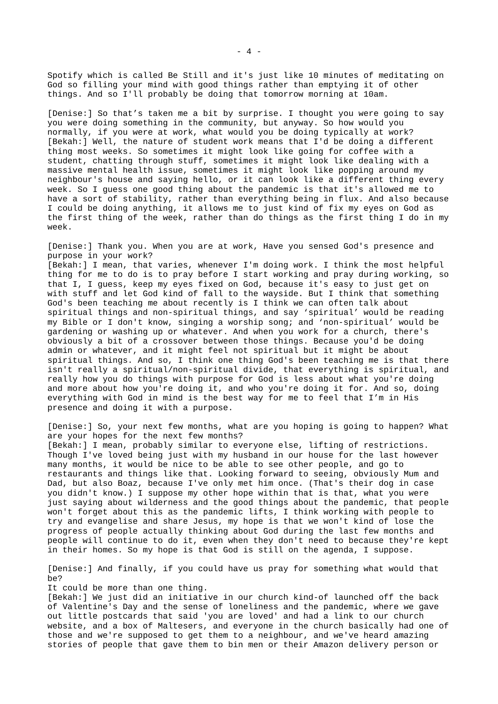Spotify which is called Be Still and it's just like 10 minutes of meditating on God so filling your mind with good things rather than emptying it of other things. And so I'll probably be doing that tomorrow morning at 10am.

[Denise:] So that's taken me a bit by surprise. I thought you were going to say you were doing something in the community, but anyway. So how would you normally, if you were at work, what would you be doing typically at work? [Bekah:] Well, the nature of student work means that I'd be doing a different thing most weeks. So sometimes it might look like going for coffee with a student, chatting through stuff, sometimes it might look like dealing with a massive mental health issue, sometimes it might look like popping around my neighbour's house and saying hello, or it can look like a different thing every week. So I guess one good thing about the pandemic is that it's allowed me to have a sort of stability, rather than everything being in flux. And also because I could be doing anything, it allows me to just kind of fix my eyes on God as the first thing of the week, rather than do things as the first thing I do in my week.

[Denise:] Thank you. When you are at work, Have you sensed God's presence and purpose in your work?

[Bekah:] I mean, that varies, whenever I'm doing work. I think the most helpful thing for me to do is to pray before I start working and pray during working, so that I, I guess, keep my eyes fixed on God, because it's easy to just get on with stuff and let God kind of fall to the wayside. But I think that something God's been teaching me about recently is I think we can often talk about spiritual things and non-spiritual things, and say 'spiritual' would be reading my Bible or I don't know, singing a worship song; and 'non-spiritual' would be gardening or washing up or whatever. And when you work for a church, there's obviously a bit of a crossover between those things. Because you'd be doing admin or whatever, and it might feel not spiritual but it might be about spiritual things. And so, I think one thing God's been teaching me is that there isn't really a spiritual/non-spiritual divide, that everything is spiritual, and really how you do things with purpose for God is less about what you're doing and more about how you're doing it, and who you're doing it for. And so, doing everything with God in mind is the best way for me to feel that I'm in His presence and doing it with a purpose.

[Denise:] So, your next few months, what are you hoping is going to happen? What are your hopes for the next few months?

[Bekah:] I mean, probably similar to everyone else, lifting of restrictions. Though I've loved being just with my husband in our house for the last however many months, it would be nice to be able to see other people, and go to restaurants and things like that. Looking forward to seeing, obviously Mum and Dad, but also Boaz, because I've only met him once. (That's their dog in case you didn't know.) I suppose my other hope within that is that, what you were just saying about wilderness and the good things about the pandemic, that people won't forget about this as the pandemic lifts, I think working with people to try and evangelise and share Jesus, my hope is that we won't kind of lose the progress of people actually thinking about God during the last few months and people will continue to do it, even when they don't need to because they're kept in their homes. So my hope is that God is still on the agenda, I suppose.

[Denise:] And finally, if you could have us pray for something what would that be?

It could be more than one thing.

[Bekah:] We just did an initiative in our church kind-of launched off the back of Valentine's Day and the sense of loneliness and the pandemic, where we gave out little postcards that said 'you are loved' and had a link to our church website, and a box of Maltesers, and everyone in the church basically had one of those and we're supposed to get them to a neighbour, and we've heard amazing stories of people that gave them to bin men or their Amazon delivery person or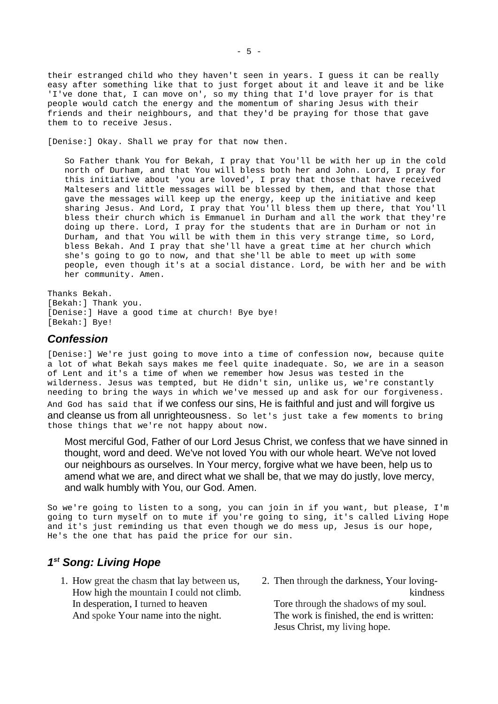their estranged child who they haven't seen in years. I guess it can be really easy after something like that to just forget about it and leave it and be like 'I've done that, I can move on', so my thing that I'd love prayer for is that people would catch the energy and the momentum of sharing Jesus with their friends and their neighbours, and that they'd be praying for those that gave them to to receive Jesus.

[Denise:] Okay. Shall we pray for that now then.

So Father thank You for Bekah, I pray that You'll be with her up in the cold north of Durham, and that You will bless both her and John. Lord, I pray for this initiative about 'you are loved', I pray that those that have received Maltesers and little messages will be blessed by them, and that those that gave the messages will keep up the energy, keep up the initiative and keep sharing Jesus. And Lord, I pray that You'll bless them up there, that You'll bless their church which is Emmanuel in Durham and all the work that they're doing up there. Lord, I pray for the students that are in Durham or not in Durham, and that You will be with them in this very strange time, so Lord, bless Bekah. And I pray that she'll have a great time at her church which she's going to go to now, and that she'll be able to meet up with some people, even though it's at a social distance. Lord, be with her and be with her community. Amen.

Thanks Bekah. [Bekah:] Thank you. [Denise:] Have a good time at church! Bye bye! [Bekah:] Bye!

### <span id="page-4-1"></span>*Confession*

[Denise:] We're just going to move into a time of confession now, because quite a lot of what Bekah says makes me feel quite inadequate. So, we are in a season of Lent and it's a time of when we remember how Jesus was tested in the wilderness. Jesus was tempted, but He didn't sin, unlike us, we're constantly needing to bring the ways in which we've messed up and ask for our forgiveness. And God has said that if we confess our sins, He is faithful and just and will forgive us and cleanse us from all unrighteousness. So let's just take a few moments to bring those things that we're not happy about now.

Most merciful God, Father of our Lord Jesus Christ, we confess that we have sinned in thought, word and deed. We've not loved You with our whole heart. We've not loved our neighbours as ourselves. In Your mercy, forgive what we have been, help us to amend what we are, and direct what we shall be, that we may do justly, love mercy, and walk humbly with You, our God. Amen.

So we're going to listen to a song, you can join in if you want, but please, I'm going to turn myself on to mute if you're going to sing, it's called Living Hope and it's just reminding us that even though we do mess up, Jesus is our hope, He's the one that has paid the price for our sin.

# <span id="page-4-0"></span>*1 st Song: Living Hope*

- 1. How great the chasm that lay between us, How high the mountain I could not climb. In desperation, I turned to heaven And spoke Your name into the night.
- 2. Then through the darkness, Your lovingkindness Tore through the shadows of my soul. The work is finished, the end is written: Jesus Christ, my living hope.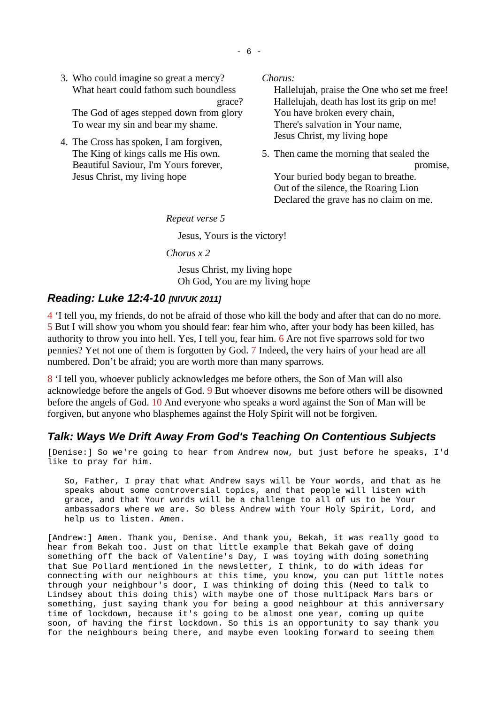- 3. Who could imagine so great a mercy? What heart could fathom such boundless grace? The God of ages stepped down from glory To wear my sin and bear my shame.
- 4. The Cross has spoken, I am forgiven, The King of kings calls me His own. Beautiful Saviour, I'm Yours forever, Jesus Christ, my living hope

*Chorus:*

Hallelujah, praise the One who set me free! Hallelujah, death has lost its grip on me! You have broken every chain, There's salvation in Your name, Jesus Christ, my living hope

5. Then came the morning that sealed the promise, Your buried body began to breathe. Out of the silence, the Roaring Lion Declared the grave has no claim on me.

*Repeat verse 5*

Jesus, Yours is the victory!

*Chorus x 2*

Jesus Christ, my living hope Oh God, You are my living hope

# <span id="page-5-1"></span>*Reading: Luke 12:4-10 [NIVUK 2011]*

4 'I tell you, my friends, do not be afraid of those who kill the body and after that can do no more. 5 But I will show you whom you should fear: fear him who, after your body has been killed, has authority to throw you into hell. Yes, I tell you, fear him. 6 Are not five sparrows sold for two pennies? Yet not one of them is forgotten by God. 7 Indeed, the very hairs of your head are all numbered. Don't be afraid; you are worth more than many sparrows.

8 'I tell you, whoever publicly acknowledges me before others, the Son of Man will also acknowledge before the angels of God. 9 But whoever disowns me before others will be disowned before the angels of God. 10 And everyone who speaks a word against the Son of Man will be forgiven, but anyone who blasphemes against the Holy Spirit will not be forgiven.

# <span id="page-5-0"></span>*Talk: Ways We Drift Away From God's Teaching On Contentious Subjects*

[Denise:] So we're going to hear from Andrew now, but just before he speaks, I'd like to pray for him.

So, Father, I pray that what Andrew says will be Your words, and that as he speaks about some controversial topics, and that people will listen with grace, and that Your words will be a challenge to all of us to be Your ambassadors where we are. So bless Andrew with Your Holy Spirit, Lord, and help us to listen. Amen.

[Andrew:] Amen. Thank you, Denise. And thank you, Bekah, it was really good to hear from Bekah too. Just on that little example that Bekah gave of doing something off the back of Valentine's Day, I was toying with doing something that Sue Pollard mentioned in the newsletter, I think, to do with ideas for connecting with our neighbours at this time, you know, you can put little notes through your neighbour's door, I was thinking of doing this (Need to talk to Lindsey about this doing this) with maybe one of those multipack Mars bars or something, just saying thank you for being a good neighbour at this anniversary time of lockdown, because it's going to be almost one year, coming up quite soon, of having the first lockdown. So this is an opportunity to say thank you for the neighbours being there, and maybe even looking forward to seeing them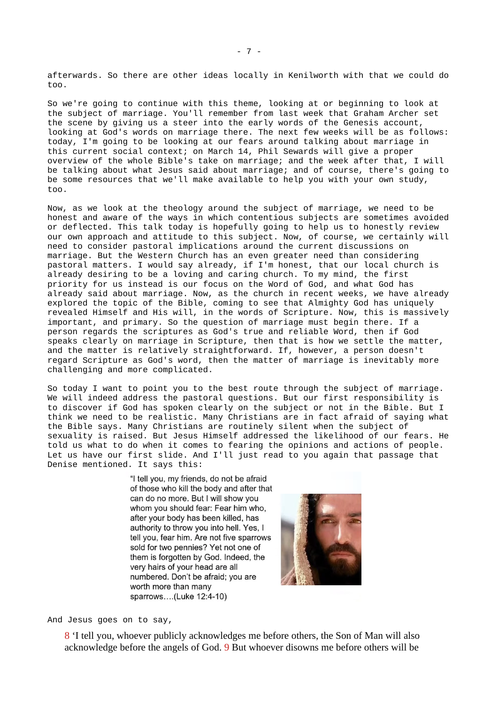afterwards. So there are other ideas locally in Kenilworth with that we could do too.

So we're going to continue with this theme, looking at or beginning to look at the subject of marriage. You'll remember from last week that Graham Archer set the scene by giving us a steer into the early words of the Genesis account, looking at God's words on marriage there. The next few weeks will be as follows: today, I'm going to be looking at our fears around talking about marriage in this current social context; on March 14, Phil Sewards will give a proper overview of the whole Bible's take on marriage; and the week after that, I will be talking about what Jesus said about marriage; and of course, there's going to be some resources that we'll make available to help you with your own study, too.

Now, as we look at the theology around the subject of marriage, we need to be honest and aware of the ways in which contentious subjects are sometimes avoided or deflected. This talk today is hopefully going to help us to honestly review our own approach and attitude to this subject. Now, of course, we certainly will need to consider pastoral implications around the current discussions on marriage. But the Western Church has an even greater need than considering pastoral matters. I would say already, if I'm honest, that our local church is already desiring to be a loving and caring church. To my mind, the first priority for us instead is our focus on the Word of God, and what God has already said about marriage. Now, as the church in recent weeks, we have already explored the topic of the Bible, coming to see that Almighty God has uniquely revealed Himself and His will, in the words of Scripture. Now, this is massively important, and primary. So the question of marriage must begin there. If a person regards the scriptures as God's true and reliable Word, then if God speaks clearly on marriage in Scripture, then that is how we settle the matter, and the matter is relatively straightforward. If, however, a person doesn't regard Scripture as God's word, then the matter of marriage is inevitably more challenging and more complicated.

So today I want to point you to the best route through the subject of marriage. We will indeed address the pastoral questions. But our first responsibility is to discover if God has spoken clearly on the subject or not in the Bible. But I think we need to be realistic. Many Christians are in fact afraid of saying what the Bible says. Many Christians are routinely silent when the subject of sexuality is raised. But Jesus Himself addressed the likelihood of our fears. He told us what to do when it comes to fearing the opinions and actions of people. Let us have our first slide. And I'll just read to you again that passage that Denise mentioned. It says this:

> "I tell you, my friends, do not be afraid of those who kill the body and after that can do no more. But I will show you whom you should fear: Fear him who, after your body has been killed, has authority to throw you into hell. Yes, I tell you, fear him. Are not five sparrows sold for two pennies? Yet not one of them is forgotten by God. Indeed, the very hairs of your head are all numbered. Don't be afraid; you are worth more than many sparrows....(Luke 12:4-10)



And Jesus goes on to say,

8 'I tell you, whoever publicly acknowledges me before others, the Son of Man will also acknowledge before the angels of God. 9 But whoever disowns me before others will be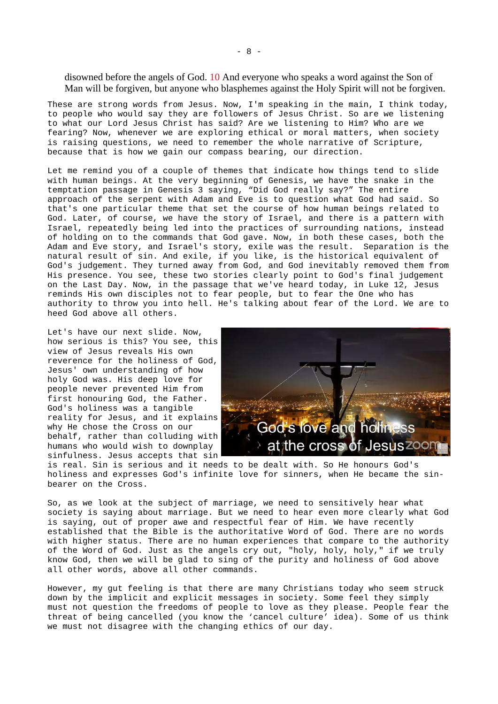disowned before the angels of God. 10 And everyone who speaks a word against the Son of Man will be forgiven, but anyone who blasphemes against the Holy Spirit will not be forgiven.

These are strong words from Jesus. Now, I'm speaking in the main, I think today, to people who would say they are followers of Jesus Christ. So are we listening to what our Lord Jesus Christ has said? Are we listening to Him? Who are we fearing? Now, whenever we are exploring ethical or moral matters, when society is raising questions, we need to remember the whole narrative of Scripture, because that is how we gain our compass bearing, our direction.

Let me remind you of a couple of themes that indicate how things tend to slide with human beings. At the very beginning of Genesis, we have the snake in the temptation passage in Genesis 3 saying, "Did God really say?" The entire approach of the serpent with Adam and Eve is to question what God had said. So that's one particular theme that set the course of how human beings related to God. Later, of course, we have the story of Israel, and there is a pattern with Israel, repeatedly being led into the practices of surrounding nations, instead of holding on to the commands that God gave. Now, in both these cases, both the Adam and Eve story, and Israel's story, exile was the result. Separation is the natural result of sin. And exile, if you like, is the historical equivalent of God's judgement. They turned away from God, and God inevitably removed them from His presence. You see, these two stories clearly point to God's final judgement on the Last Day. Now, in the passage that we've heard today, in Luke 12, Jesus reminds His own disciples not to fear people, but to fear the One who has authority to throw you into hell. He's talking about fear of the Lord. We are to heed God above all others.

Let's have our next slide. Now, how serious is this? You see, this view of Jesus reveals His own reverence for the holiness of God, Jesus' own understanding of how holy God was. His deep love for people never prevented Him from first honouring God, the Father. God's holiness was a tangible reality for Jesus, and it explains why He chose the Cross on our behalf, rather than colluding with humans who would wish to downplay sinfulness. Jesus accepts that sin



is real. Sin is serious and it needs to be dealt with. So He honours God's holiness and expresses God's infinite love for sinners, when He became the sinbearer on the Cross.

So, as we look at the subject of marriage, we need to sensitively hear what society is saying about marriage. But we need to hear even more clearly what God is saying, out of proper awe and respectful fear of Him. We have recently established that the Bible is the authoritative Word of God. There are no words with higher status. There are no human experiences that compare to the authority of the Word of God. Just as the angels cry out, "holy, holy, holy," if we truly know God, then we will be glad to sing of the purity and holiness of God above all other words, above all other commands.

However, my gut feeling is that there are many Christians today who seem struck down by the implicit and explicit messages in society. Some feel they simply must not question the freedoms of people to love as they please. People fear the threat of being cancelled (you know the 'cancel culture' idea). Some of us think we must not disagree with the changing ethics of our day.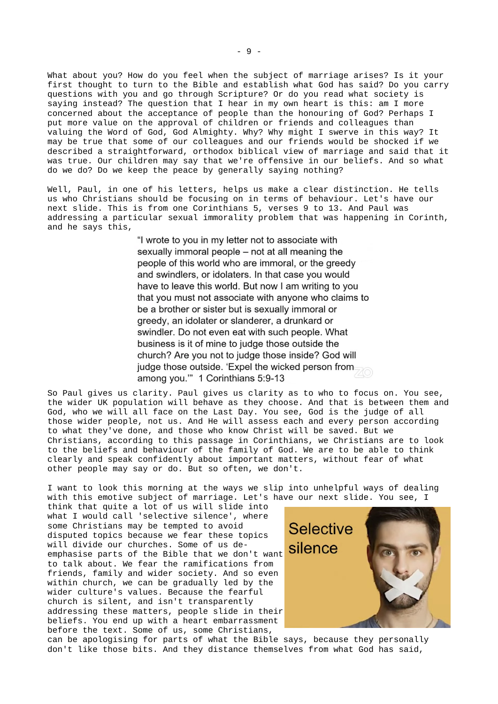What about you? How do you feel when the subject of marriage arises? Is it your first thought to turn to the Bible and establish what God has said? Do you carry questions with you and go through Scripture? Or do you read what society is saying instead? The question that I hear in my own heart is this: am I more concerned about the acceptance of people than the honouring of God? Perhaps I put more value on the approval of children or friends and colleagues than valuing the Word of God, God Almighty. Why? Why might I swerve in this way? It may be true that some of our colleagues and our friends would be shocked if we described a straightforward, orthodox biblical view of marriage and said that it was true. Our children may say that we're offensive in our beliefs. And so what do we do? Do we keep the peace by generally saying nothing?

Well, Paul, in one of his letters, helps us make a clear distinction. He tells us who Christians should be focusing on in terms of behaviour. Let's have our next slide. This is from one Corinthians 5, verses 9 to 13. And Paul was addressing a particular sexual immorality problem that was happening in Corinth, and he says this,

> "I wrote to you in my letter not to associate with sexually immoral people - not at all meaning the people of this world who are immoral, or the greedy and swindlers, or idolaters. In that case you would have to leave this world. But now I am writing to you that you must not associate with anyone who claims to be a brother or sister but is sexually immoral or greedy, an idolater or slanderer, a drunkard or swindler. Do not even eat with such people. What business is it of mine to judge those outside the church? Are you not to judge those inside? God will judge those outside. 'Expel the wicked person fromamong you." 1 Corinthians 5:9-13

So Paul gives us clarity. Paul gives us clarity as to who to focus on. You see, the wider UK population will behave as they choose. And that is between them and God, who we will all face on the Last Day. You see, God is the judge of all those wider people, not us. And He will assess each and every person according to what they've done, and those who know Christ will be saved. But we Christians, according to this passage in Corinthians, we Christians are to look to the beliefs and behaviour of the family of God. We are to be able to think clearly and speak confidently about important matters, without fear of what other people may say or do. But so often, we don't.

I want to look this morning at the ways we slip into unhelpful ways of dealing with this emotive subject of marriage. Let's have our next slide. You see, I

think that quite a lot of us will slide into what I would call 'selective silence', where some Christians may be tempted to avoid disputed topics because we fear these topics will divide our churches. Some of us deemphasise parts of the Bible that we don't want to talk about. We fear the ramifications from friends, family and wider society. And so even within church, we can be gradually led by the wider culture's values. Because the fearful church is silent, and isn't transparently addressing these matters, people slide in their beliefs. You end up with a heart embarrassment before the text. Some of us, some Christians,



can be apologising for parts of what the Bible says, because they personally don't like those bits. And they distance themselves from what God has said,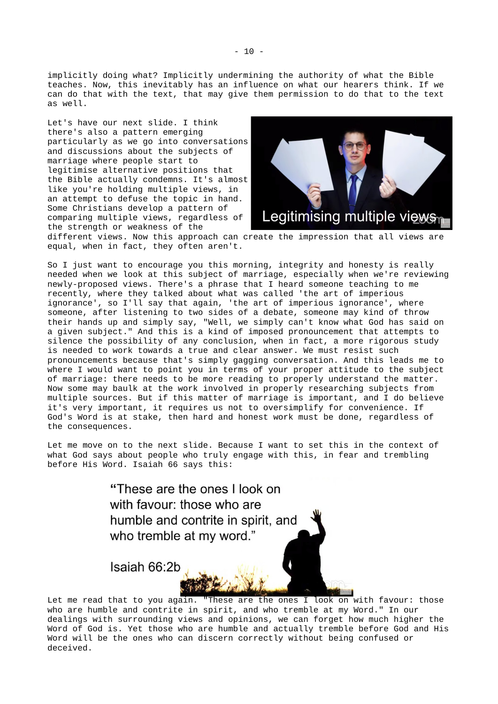implicitly doing what? Implicitly undermining the authority of what the Bible teaches. Now, this inevitably has an influence on what our hearers think. If we can do that with the text, that may give them permission to do that to the text as well.

Let's have our next slide. I think there's also a pattern emerging particularly as we go into conversations and discussions about the subjects of marriage where people start to legitimise alternative positions that the Bible actually condemns. It's almost like you're holding multiple views, in an attempt to defuse the topic in hand. Some Christians develop a pattern of comparing multiple views, regardless of the strength or weakness of the



different views. Now this approach can create the impression that all views are equal, when in fact, they often aren't.

So I just want to encourage you this morning, integrity and honesty is really needed when we look at this subject of marriage, especially when we're reviewing newly-proposed views. There's a phrase that I heard someone teaching to me recently, where they talked about what was called 'the art of imperious ignorance', so I'll say that again, 'the art of imperious ignorance', where someone, after listening to two sides of a debate, someone may kind of throw their hands up and simply say, "Well, we simply can't know what God has said on a given subject." And this is a kind of imposed pronouncement that attempts to silence the possibility of any conclusion, when in fact, a more rigorous study is needed to work towards a true and clear answer. We must resist such pronouncements because that's simply gagging conversation. And this leads me to where I would want to point you in terms of your proper attitude to the subject of marriage: there needs to be more reading to properly understand the matter. Now some may baulk at the work involved in properly researching subjects from multiple sources. But if this matter of marriage is important, and I do believe it's very important, it requires us not to oversimplify for convenience. If God's Word is at stake, then hard and honest work must be done, regardless of the consequences.

Let me move on to the next slide. Because I want to set this in the context of what God says about people who truly engage with this, in fear and trembling before His Word. Isaiah 66 says this:

> "These are the ones I look on with favour: those who are humble and contrite in spirit, and who tremble at my word."

Isaiah 66:2b

Let me read that to you again. "These are the ones I look on with favour: those who are humble and contrite in spirit, and who tremble at my Word." In our dealings with surrounding views and opinions, we can forget how much higher the Word of God is. Yet those who are humble and actually tremble before God and His Word will be the ones who can discern correctly without being confused or deceived.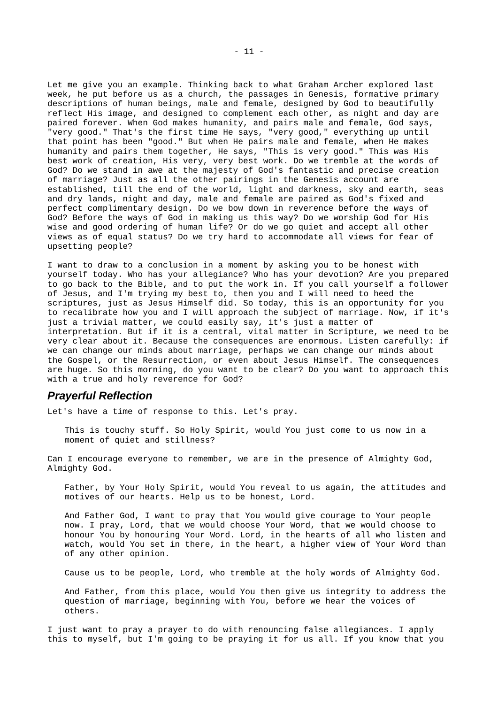Let me give you an example. Thinking back to what Graham Archer explored last week, he put before us as a church, the passages in Genesis, formative primary descriptions of human beings, male and female, designed by God to beautifully reflect His image, and designed to complement each other, as night and day are paired forever. When God makes humanity, and pairs male and female, God says, "very good." That's the first time He says, "very good," everything up until that point has been "good." But when He pairs male and female, when He makes humanity and pairs them together, He says, "This is very good." This was His best work of creation, His very, very best work. Do we tremble at the words of God? Do we stand in awe at the majesty of God's fantastic and precise creation of marriage? Just as all the other pairings in the Genesis account are established, till the end of the world, light and darkness, sky and earth, seas and dry lands, night and day, male and female are paired as God's fixed and perfect complimentary design. Do we bow down in reverence before the ways of God? Before the ways of God in making us this way? Do we worship God for His wise and good ordering of human life? Or do we go quiet and accept all other views as of equal status? Do we try hard to accommodate all views for fear of upsetting people?

I want to draw to a conclusion in a moment by asking you to be honest with yourself today. Who has your allegiance? Who has your devotion? Are you prepared to go back to the Bible, and to put the work in. If you call yourself a follower of Jesus, and I'm trying my best to, then you and I will need to heed the scriptures, just as Jesus Himself did. So today, this is an opportunity for you to recalibrate how you and I will approach the subject of marriage. Now, if it's just a trivial matter, we could easily say, it's just a matter of interpretation. But if it is a central, vital matter in Scripture, we need to be very clear about it. Because the consequences are enormous. Listen carefully: if we can change our minds about marriage, perhaps we can change our minds about the Gospel, or the Resurrection, or even about Jesus Himself. The consequences are huge. So this morning, do you want to be clear? Do you want to approach this with a true and holy reverence for God?

#### <span id="page-10-0"></span>*Prayerful Reflection*

Let's have a time of response to this. Let's pray.

This is touchy stuff. So Holy Spirit, would You just come to us now in a moment of quiet and stillness?

Can I encourage everyone to remember, we are in the presence of Almighty God, Almighty God.

Father, by Your Holy Spirit, would You reveal to us again, the attitudes and motives of our hearts. Help us to be honest, Lord.

And Father God, I want to pray that You would give courage to Your people now. I pray, Lord, that we would choose Your Word, that we would choose to honour You by honouring Your Word. Lord, in the hearts of all who listen and watch, would You set in there, in the heart, a higher view of Your Word than of any other opinion.

Cause us to be people, Lord, who tremble at the holy words of Almighty God.

And Father, from this place, would You then give us integrity to address the question of marriage, beginning with You, before we hear the voices of others.

I just want to pray a prayer to do with renouncing false allegiances. I apply this to myself, but I'm going to be praying it for us all. If you know that you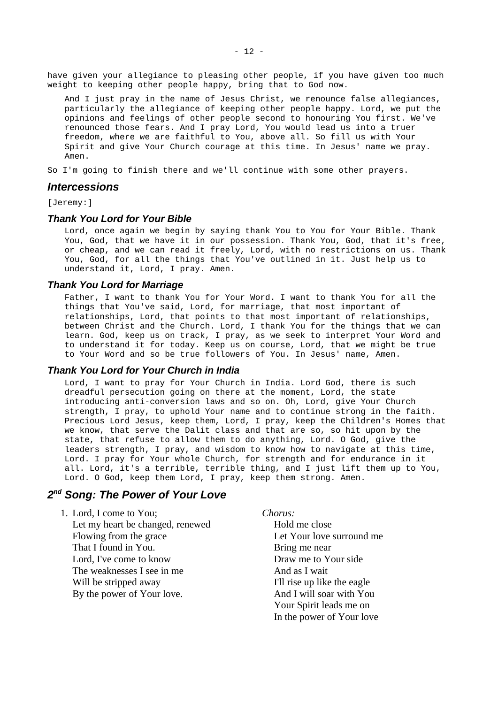have given your allegiance to pleasing other people, if you have given too much weight to keeping other people happy, bring that to God now.

And I just pray in the name of Jesus Christ, we renounce false allegiances, particularly the allegiance of keeping other people happy. Lord, we put the opinions and feelings of other people second to honouring You first. We've renounced those fears. And I pray Lord, You would lead us into a truer freedom, where we are faithful to You, above all. So fill us with Your Spirit and give Your Church courage at this time. In Jesus' name we pray. Amen.

So I'm going to finish there and we'll continue with some other prayers.

#### <span id="page-11-1"></span>*Intercessions*

[Jeremy:]

### *Thank You Lord for Your Bible*

Lord, once again we begin by saying thank You to You for Your Bible. Thank You, God, that we have it in our possession. Thank You, God, that it's free, or cheap, and we can read it freely, Lord, with no restrictions on us. Thank You, God, for all the things that You've outlined in it. Just help us to understand it, Lord, I pray. Amen.

#### *Thank You Lord for Marriage*

Father, I want to thank You for Your Word. I want to thank You for all the things that You've said, Lord, for marriage, that most important of relationships, Lord, that points to that most important of relationships, between Christ and the Church. Lord, I thank You for the things that we can learn. God, keep us on track, I pray, as we seek to interpret Your Word and to understand it for today. Keep us on course, Lord, that we might be true to Your Word and so be true followers of You. In Jesus' name, Amen.

#### *Thank You Lord for Your Church in India*

Lord, I want to pray for Your Church in India. Lord God, there is such dreadful persecution going on there at the moment, Lord, the state introducing anti-conversion laws and so on. Oh, Lord, give Your Church strength, I pray, to uphold Your name and to continue strong in the faith. Precious Lord Jesus, keep them, Lord, I pray, keep the Children's Homes that we know, that serve the Dalit class and that are so, so hit upon by the state, that refuse to allow them to do anything, Lord. O God, give the leaders strength, I pray, and wisdom to know how to navigate at this time, Lord. I pray for Your whole Church, for strength and for endurance in it all. Lord, it's a terrible, terrible thing, and I just lift them up to You, Lord. O God, keep them Lord, I pray, keep them strong. Amen.

# <span id="page-11-0"></span>*2 nd Song: The Power of Your Love*

1. Lord, I come to You; Let my heart be changed, renewed Flowing from the grace That I found in You. Lord, I've come to know The weaknesses I see in me Will be stripped away By the power of Your love.

*Chorus:* Hold me close Let Your love surround me Bring me near Draw me to Your side And as I wait I'll rise up like the eagle And I will soar with You Your Spirit leads me on In the power of Your love